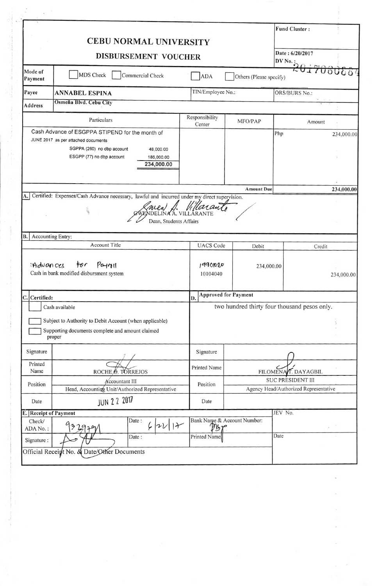|                             | <b>CEBU NORMAL UNIVERSITY</b>                                                                                                                                                              |                                             |                                              | <b>Fund Cluster:</b>                             |               |  |
|-----------------------------|--------------------------------------------------------------------------------------------------------------------------------------------------------------------------------------------|---------------------------------------------|----------------------------------------------|--------------------------------------------------|---------------|--|
|                             | DISBURSEMENT VOUCHER                                                                                                                                                                       |                                             |                                              | Date: 6/20/2017                                  |               |  |
| Mode of<br>Payment          | MDS Check<br>Commercial Check                                                                                                                                                              | <b>ADA</b>                                  | Others (Please specify)                      |                                                  |               |  |
| Payee                       | <b>ANNABEL ESPINA</b>                                                                                                                                                                      |                                             | TIN/Employee No.:                            |                                                  | ORS/BURS No.: |  |
| Address                     | Osmeña Blvd. Cebu City                                                                                                                                                                     |                                             |                                              |                                                  |               |  |
|                             | Particulars                                                                                                                                                                                | Responsibility                              | MFO/PAP                                      |                                                  | Amount        |  |
|                             | Cash Advance of ESGPPA STIPEND for the month of<br>JUNE 2017 as per attached documents<br>SGPPA (260) no dbp account<br>48,000.00<br>ESGPP (77) no dbp account<br>186,000.00<br>234,000.00 | Center                                      |                                              | Php                                              | 234,000.00    |  |
|                             |                                                                                                                                                                                            |                                             | <b>Amount Due</b>                            |                                                  | 234,000.00    |  |
|                             |                                                                                                                                                                                            |                                             |                                              |                                                  |               |  |
|                             | 100<br>Dean, Students Affairs                                                                                                                                                              | INA A. VILLARANTE                           |                                              |                                                  |               |  |
| <b>B.</b> Accounting Entry: | <b>Account Title</b>                                                                                                                                                                       | <b>UACS</b> Code                            | Debit                                        |                                                  | Credit        |  |
| :Advances                   | P <sub>0</sub><br>for<br>Cash in bank modified disbursment system                                                                                                                          | 19901020<br>10104040                        | 234,000.00                                   |                                                  |               |  |
| C. Certified:               |                                                                                                                                                                                            | <b>Approved for Payment</b><br>D.           |                                              |                                                  |               |  |
|                             | Cash available                                                                                                                                                                             |                                             | two hundred thirty four thousand pesos only. |                                                  |               |  |
|                             | Subject to Authority to Debit Account (when applicable)<br>Supporting documents complete and amount claimed<br>proper                                                                      |                                             |                                              |                                                  |               |  |
| Signature                   |                                                                                                                                                                                            | Signature                                   |                                              |                                                  |               |  |
| Printed<br>Name             |                                                                                                                                                                                            | <b>Printed Name</b>                         |                                              |                                                  | 234,000.00    |  |
| Position                    | ROCHE <sub>,</sub> O. TORREJOS<br><b>Accountant III</b>                                                                                                                                    | Position                                    |                                              | FILOMENA T. DAYAGBIL<br><b>SUC PRESIDENT III</b> |               |  |
| Date                        | Head, Accounting Unit/Authorized Representative                                                                                                                                            | Date                                        |                                              | Agency Head/Authorized Representative            |               |  |
| E.                          | JUN 2 2 2017<br><b>Receipt of Payment</b>                                                                                                                                                  |                                             |                                              | JEV No.                                          |               |  |
| Check/<br>ADA No.:          | Date:<br>$2V$   $+$<br>Ļ<br>292<br>Date:                                                                                                                                                   | Bank Name & Account Number:<br>Printed Name |                                              | Date                                             |               |  |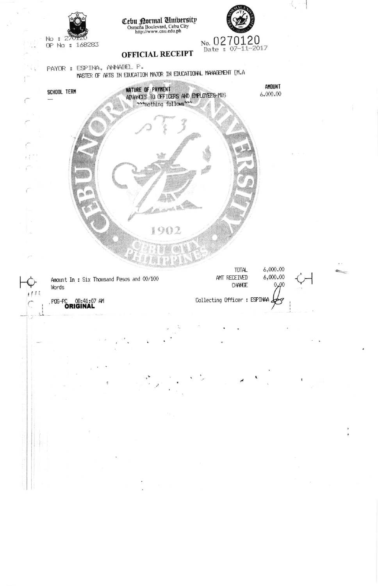